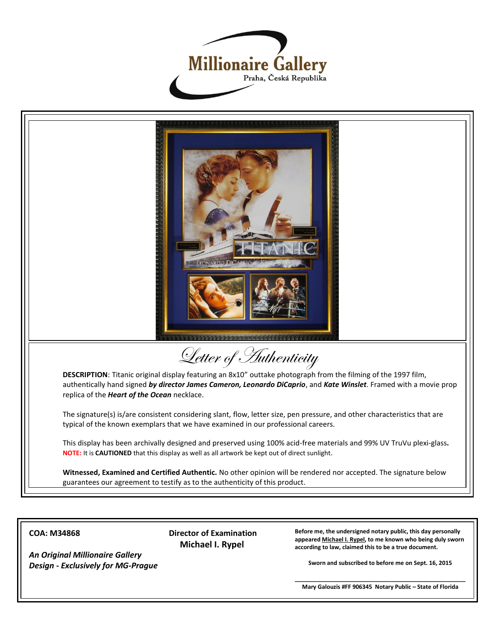



**COA: M34868**

*An Original Millionaire Gallery Design - Exclusively for MG-Prague* **Director of Examination Michael I. Rypel**

**Before me, the undersigned notary public, this day personally appeared Michael I. Rypel, to me known who being duly sworn according to law, claimed this to be a true document.**

**Sworn and subscribed to before me on Sept. 16, 2015**

**\_\_\_\_\_\_\_\_\_\_\_\_\_\_\_\_\_\_\_\_\_\_\_\_\_\_\_\_\_\_\_\_\_\_\_\_\_\_\_\_\_\_\_\_\_\_\_\_\_\_\_\_\_ Mary Galouzis #FF 906345 Notary Public – State of Florida**